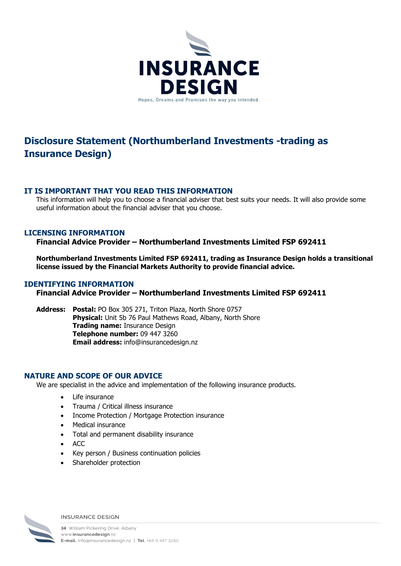

# Disclosure Statement (Northumberland Investments -trading as Insurance Design)

## IT IS IMPORTANT THAT YOU READ THIS INFORMATION

This information will help you to choose a financial adviser that best suits your needs. It will also provide some useful information about the financial adviser that you choose.

# LICENSING INFORMATION

Financial Advice Provider – Northumberland Investments Limited FSP 692411

Northumberland Investments Limited FSP 692411, trading as Insurance Design holds a transitional license issued by the Financial Markets Authority to provide financial advice.

### IDENTIFYING INFORMATION

Financial Advice Provider – Northumberland Investments Limited FSP 692411

Address: Postal: PO Box 305 271, Triton Plaza, North Shore 0757 Physical: Unit 5b 76 Paul Mathews Road, Albany, North Shore Trading name: Insurance Design Telephone number: 09 447 3260 Email address: info@insurancedesign.nz

### NATURE AND SCOPE OF OUR ADVICE

We are specialist in the advice and implementation of the following insurance products.

- Life insurance
- Trauma / Critical illness insurance
- Income Protection / Mortgage Protection insurance
- Medical insurance
- Total and permanent disability insurance
- $\bullet$  ACC
- Key person / Business continuation policies
- Shareholder protection



**INSURANCE DESIGN**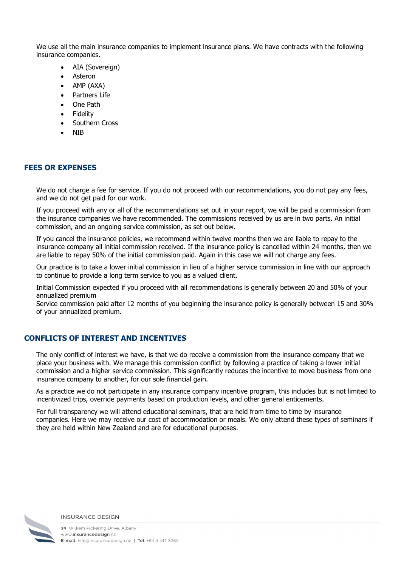We use all the main insurance companies to implement insurance plans. We have contracts with the following insurance companies.

- AIA (Sovereign)
- Asteron
- $\bullet$  AMP (AXA)
- Partners Life
- One Path
- Fidelity
- **•** Southern Cross
- NIB

## FEES OR EXPENSES

We do not charge a fee for service. If you do not proceed with our recommendations, you do not pay any fees, and we do not get paid for our work.

If you proceed with any or all of the recommendations set out in your report, we will be paid a commission from the insurance companies we have recommended. The commissions received by us are in two parts. An initial commission, and an ongoing service commission, as set out below.

If you cancel the insurance policies, we recommend within twelve months then we are liable to repay to the insurance company all initial commission received. If the insurance policy is cancelled within 24 months, then we are liable to repay 50% of the initial commission paid. Again in this case we will not charge any fees.

Our practice is to take a lower initial commission in lieu of a higher service commission in line with our approach to continue to provide a long term service to you as a valued client.

Initial Commission expected if you proceed with all recommendations is generally between 20 and 50% of your annualized premium

Service commission paid after 12 months of you beginning the insurance policy is generally between 15 and 30% of your annualized premium.

# CONFLICTS OF INTEREST AND INCENTIVES

The only conflict of interest we have, is that we do receive a commission from the insurance company that we place your business with. We manage this commission conflict by following a practice of taking a lower initial commission and a higher service commission. This significantly reduces the incentive to move business from one insurance company to another, for our sole financial gain.

As a practice we do not participate in any insurance company incentive program, this includes but is not limited to incentivized trips, override payments based on production levels, and other general enticements.

For full transparency we will attend educational seminars, that are held from time to time by insurance companies. Here we may receive our cost of accommodation or meals. We only attend these types of seminars if they are held within New Zealand and are for educational purposes.



#### **INSURANCE DESIGN**